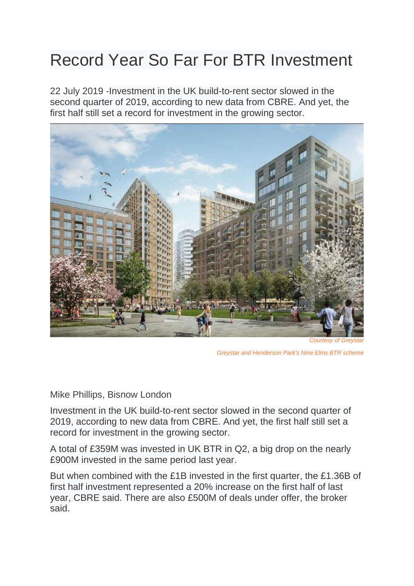## Record Year So Far For BTR Investment

22 July 2019 -Investment in the UK build-to-rent sector slowed in the second quarter of 2019, according to new data from CBRE. And yet, the first half still set a record for investment in the growing sector.



*Greystar and Henderson Park's Nine Elms BTR scheme*

[Mike Phillips, Bisnow London](https://www.bisnow.com/author/mike-phillips-103547)

Investment in the UK build-to-rent sector slowed in the second quarter of 2019, according to new data from CBRE. And yet, the first half still set a record for investment in the growing sector.

A total of £359M was invested in UK BTR in Q2, a big drop on the nearly £900M invested in the same period last year.

But when combined with the £1B invested in the first quarter, the £1.36B of first half investment represented a 20% increase on the first half of last year, CBRE said. There are also £500M of deals under offer, the broker said.